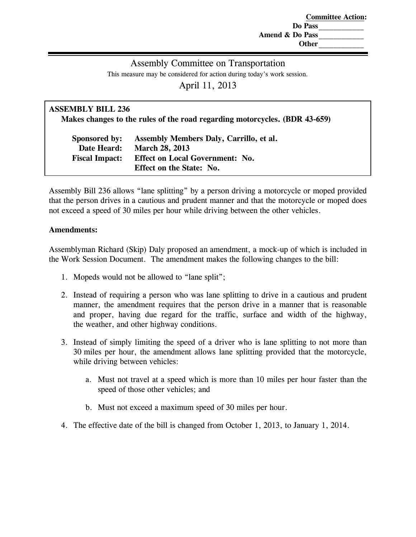**Committee Action: Do Pass\_\_\_\_\_\_\_\_\_\_\_\_ Amend & Do Pass\_\_\_\_\_\_\_\_\_\_\_\_ Other\_\_\_\_\_\_\_\_\_\_\_\_**

## Assembly Committee on Transportation

This measure may be considered for action during today's work session.

April 11, 2013

| <b>ASSEMBLY BILL 236</b><br>Makes changes to the rules of the road regarding motorcycles. (BDR 43-659) |                                                                           |  |
|--------------------------------------------------------------------------------------------------------|---------------------------------------------------------------------------|--|
| Sponsored by:<br>Date Heard:                                                                           | Assembly Members Daly, Carrillo, et al.<br><b>March 28, 2013</b>          |  |
| <b>Fiscal Impact:</b>                                                                                  | <b>Effect on Local Government: No.</b><br><b>Effect on the State: No.</b> |  |
|                                                                                                        |                                                                           |  |

Assembly Bill 236 allows "lane splitting" by a person driving a motorcycle or moped provided that the person drives in a cautious and prudent manner and that the motorcycle or moped does not exceed a speed of 30 miles per hour while driving between the other vehicles.

### **Amendments:**

Assemblyman Richard (Skip) Daly proposed an amendment, a mock-up of which is included in the Work Session Document. The amendment makes the following changes to the bill:

- 1. Mopeds would not be allowed to "lane split";
- 2. Instead of requiring a person who was lane splitting to drive in a cautious and prudent manner, the amendment requires that the person drive in a manner that is reasonable and proper, having due regard for the traffic, surface and width of the highway, the weather, and other highway conditions.
- 3. Instead of simply limiting the speed of a driver who is lane splitting to not more than 30 miles per hour, the amendment allows lane splitting provided that the motorcycle, while driving between vehicles:
	- a. Must not travel at a speed which is more than 10 miles per hour faster than the speed of those other vehicles; and
	- b. Must not exceed a maximum speed of 30 miles per hour.
- 4. The effective date of the bill is changed from October 1, 2013, to January 1, 2014.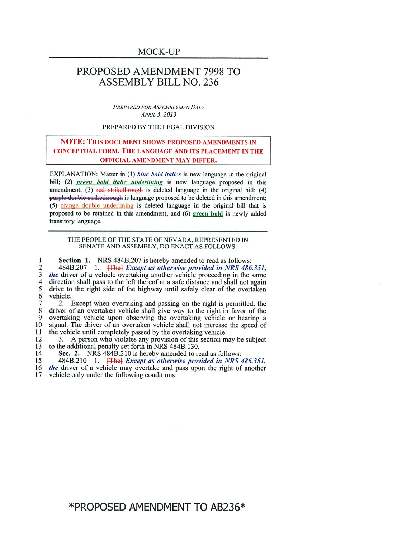## PROPOSED AMENDMENT 7998 TO **ASSEMBLY BILL NO. 236**

PREPARED FOR ASSEMBLYMAN DALY APRIL 5, 2013

#### PREPARED BY THE LEGAL DIVISION

### **NOTE: THIS DOCUMENT SHOWS PROPOSED AMENDMENTS IN CONCEPTUAL FORM. THE LANGUAGE AND ITS PLACEMENT IN THE OFFICIAL AMENDMENT MAY DIFFER.**

EXPLANATION: Matter in (1) blue bold italics is new language in the original bill; (2) green bold italic underlining is new language proposed in this amendment; (3) red strikethrough is deleted language in the original bill; (4) purple-double-strikethrough is language proposed to be deleted in this amendment; (5) orange double underlining is deleted language in the original bill that is proposed to be retained in this amendment; and (6) green bold is newly added transitory language.

#### THE PEOPLE OF THE STATE OF NEVADA, REPRESENTED IN SENATE AND ASSEMBLY, DO ENACT AS FOLLOWS:

Section 1. NRS 484B.207 is hereby amended to read as follows: 1 484B.207 1. **The** Except as otherwise provided in NRS 486.351, the driver of a vehicle overtaking another vehicle proceeding in the same  $\overline{2}$ 3  $\overline{\mathbf{4}}$ direction shall pass to the left thereof at a safe distance and shall not again  $\overline{5}$ drive to the right side of the highway until safely clear of the overtaken 6 vehicle.

7 2. Except when overtaking and passing on the right is permitted, the 8 driver of an overtaken vehicle shall give way to the right in favor of the 9 overtaking vehicle upon observing the overtaking vehicle or hearing a 10 signal. The driver of an overtaken vehicle shall not increase the speed of the vehicle until completely passed by the overtaking vehicle. 11

12 3. A person who violates any provision of this section may be subject 13 to the additional penalty set forth in NRS 484B.130.

14 Sec. 2. NRS 484B.210 is hereby amended to read as follows:

484B.210 1. **The** *Except as otherwise provided in NRS 486.351, the driver of a vehicle may overtake and pass upon the right of another* 15

16 vehicle only under the following conditions: 17

\*PROPOSED AMENDMENT TO AB236\*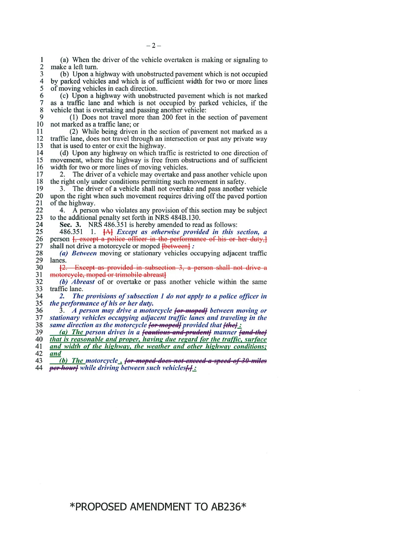(a) When the driver of the vehicle overtaken is making or signaling to 1  $\overline{2}$ make a left turn.

3 (b) Upon a highway with unobstructed pavement which is not occupied  $\overline{4}$ by parked vehicles and which is of sufficient width for two or more lines 5 of moving vehicles in each direction.

(c) Upon a highway with unobstructed pavement which is not marked 6 as a traffic lane and which is not occupied by parked vehicles, if the  $\overline{7}$ vehicle that is overtaking and passing another vehicle: 8

9 (1) Does not travel more than 200 feet in the section of pavement 10 not marked as a traffic lane; or

11 (2) While being driven in the section of pavement not marked as a traffic lane, does not travel through an intersection or past any private way 12 that is used to enter or exit the highway. 13

14 (d) Upon any highway on which traffic is restricted to one direction of 15 movement, where the highway is free from obstructions and of sufficient 16 width for two or more lines of moving vehicles.

2. The driver of a vehicle may overtake and pass another vehicle upon 17 the right only under conditions permitting such movement in safety. 18

3. The driver of a vehicle shall not overtake and pass another vehicle 19 20 upon the right when such movement requires driving off the paved portion 21 of the highway.

22 4. A person who violates any provision of this section may be subject to the additional penalty set forth in NRS 484B.130. 23

Sec. 3. NRS 486.351 is hereby amended to read as follows: 24

486.351 1.  $[A]$  *Except as otherwise provided in this section, a* person  $[$ , except a police officer in the performance of his or her duty, $]$ 25 26 27 shall not drive a motorcycle or moped [between] :

28 (a) Between moving or stationary vehicles occupying adjacent traffic 29 lanes.

30 [2. Except as provided in subsection 3, a person shall not drive a 31 motorcycle, moped or trimobile abreast]

32 (b) Abreast of or overtake or pass another vehicle within the same 33 traffic lane.

34 2. The provisions of subsection 1 do not apply to a police officer in the performance of his or her duty. 35

36 3. A person may drive a motorcycle for moped between moving or stationary vehicles occupying adjacent traffic lanes and traveling in the 37 same direction as the motorcycle for mopedly provided that [the] : 38

(a) The person drives in a feautious and prudent manner fand the 39

that is reasonable and proper, having due regard for the traffic, surface 40

41 and width of the highway, the weather and other highway conditions; 42 and

(b) The motorcycle, for moped does not exceed a speed of 30 miles 43 per-hourly while driving between such vehicles[-1]: 44

 $-2-$ 

# \*PROPOSED AMENDMENT TO AB236\*